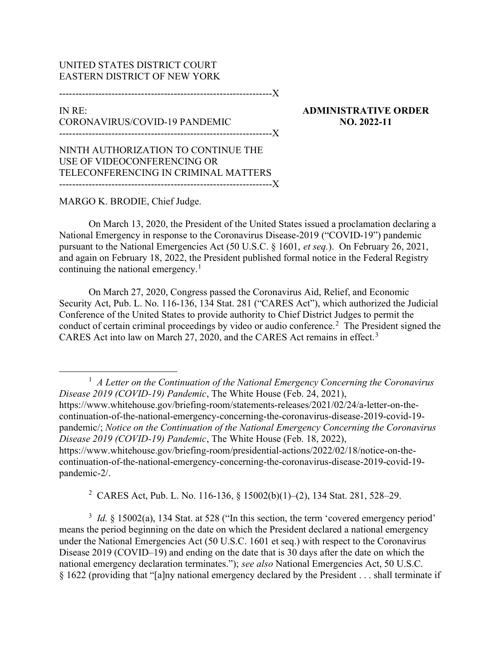## UNITED STATES DISTRICT COURT EASTERN DISTRICT OF NEW YORK

-----------------------------------------------------------------X

## IN RE: CORONAVIRUS/COVID-19 PANDEMIC -----------------------------------------------------------------X

ADMINISTRATIVE ORDER NO. 2022-11

NINTH AUTHORIZATION TO CONTINUE THE USE OF VIDEOCONFERENCING OR TELECONFERENCING IN CRIMINAL MATTERS -----------------------------------------------------------------X

## MARGO K. BRODIE, Chief Judge.

On March 13, 2020, the President of the United States issued a proclamation declaring a National Emergency in response to the Coronavirus Disease-2019 ("COVID-19") pandemic pursuant to the National Emergencies Act (50 U.S.C. § 1601, et seq.). On February 26, 2021, and again on February 18, 2022, the President published formal notice in the Federal Registry continuing the national emergency.<sup>1</sup>

On March 27, 2020, Congress passed the Coronavirus Aid, Relief, and Economic Security Act, Pub. L. No. 116-136, 134 Stat. 281 ("CARES Act"), which authorized the Judicial Conference of the United States to provide authority to Chief District Judges to permit the conduct of certain criminal proceedings by video or audio conference.<sup>2</sup> The President signed the CARES Act into law on March 27, 2020, and the CARES Act remains in effect.<sup>3</sup>

2 CARES Act, Pub. L. No. 116-136, § 15002(b)(1)–(2), 134 Stat. 281, 528–29.

 $3$  *Id.* § 15002(a), 134 Stat. at 528 ("In this section, the term 'covered emergency period' means the period beginning on the date on which the President declared a national emergency under the National Emergencies Act (50 U.S.C. 1601 et seq.) with respect to the Coronavirus Disease 2019 (COVID–19) and ending on the date that is 30 days after the date on which the national emergency declaration terminates."); see also National Emergencies Act, 50 U.S.C. § 1622 (providing that "[a]ny national emergency declared by the President . . . shall terminate if

 $<sup>1</sup>$  A Letter on the Continuation of the National Emergency Concerning the Coronavirus</sup> Disease 2019 (COVID-19) Pandemic, The White House (Feb. 24, 2021), https://www.whitehouse.gov/briefing-room/statements-releases/2021/02/24/a-letter-on-thecontinuation-of-the-national-emergency-concerning-the-coronavirus-disease-2019-covid-19 pandemic/; Notice on the Continuation of the National Emergency Concerning the Coronavirus Disease 2019 (COVID-19) Pandemic, The White House (Feb. 18, 2022), https://www.whitehouse.gov/briefing-room/presidential-actions/2022/02/18/notice-on-thecontinuation-of-the-national-emergency-concerning-the-coronavirus-disease-2019-covid-19 pandemic-2/.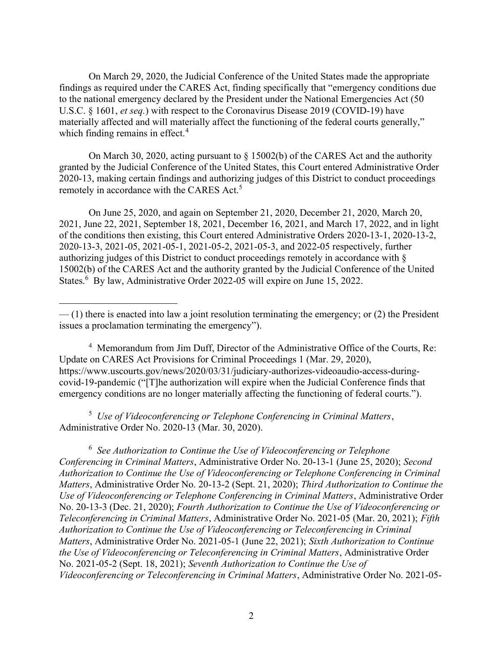On March 29, 2020, the Judicial Conference of the United States made the appropriate findings as required under the CARES Act, finding specifically that "emergency conditions due to the national emergency declared by the President under the National Emergencies Act (50 U.S.C. § 1601, et seq.) with respect to the Coronavirus Disease 2019 (COVID-19) have materially affected and will materially affect the functioning of the federal courts generally," which finding remains in effect.<sup>4</sup>

On March 30, 2020, acting pursuant to § 15002(b) of the CARES Act and the authority granted by the Judicial Conference of the United States, this Court entered Administrative Order 2020-13, making certain findings and authorizing judges of this District to conduct proceedings remotely in accordance with the CARES Act.<sup>5</sup>

On June 25, 2020, and again on September 21, 2020, December 21, 2020, March 20, 2021, June 22, 2021, September 18, 2021, December 16, 2021, and March 17, 2022, and in light of the conditions then existing, this Court entered Administrative Orders 2020-13-1, 2020-13-2, 2020-13-3, 2021-05, 2021-05-1, 2021-05-2, 2021-05-3, and 2022-05 respectively, further authorizing judges of this District to conduct proceedings remotely in accordance with § 15002(b) of the CARES Act and the authority granted by the Judicial Conference of the United States.<sup>6</sup> By law, Administrative Order 2022-05 will expire on June 15, 2022.

4 Memorandum from Jim Duff, Director of the Administrative Office of the Courts, Re: Update on CARES Act Provisions for Criminal Proceedings 1 (Mar. 29, 2020), https://www.uscourts.gov/news/2020/03/31/judiciary-authorizes-videoaudio-access-duringcovid-19-pandemic ("[T]he authorization will expire when the Judicial Conference finds that emergency conditions are no longer materially affecting the functioning of federal courts.").

<sup>5</sup> Use of Videoconferencing or Telephone Conferencing in Criminal Matters, Administrative Order No. 2020-13 (Mar. 30, 2020).

 $6$  See Authorization to Continue the Use of Videoconferencing or Telephone Conferencing in Criminal Matters, Administrative Order No. 20-13-1 (June 25, 2020); Second Authorization to Continue the Use of Videoconferencing or Telephone Conferencing in Criminal Matters, Administrative Order No. 20-13-2 (Sept. 21, 2020); Third Authorization to Continue the Use of Videoconferencing or Telephone Conferencing in Criminal Matters, Administrative Order No. 20-13-3 (Dec. 21, 2020); Fourth Authorization to Continue the Use of Videoconferencing or Teleconferencing in Criminal Matters, Administrative Order No. 2021-05 (Mar. 20, 2021); Fifth Authorization to Continue the Use of Videoconferencing or Teleconferencing in Criminal Matters, Administrative Order No. 2021-05-1 (June 22, 2021); Sixth Authorization to Continue the Use of Videoconferencing or Teleconferencing in Criminal Matters, Administrative Order No. 2021-05-2 (Sept. 18, 2021); Seventh Authorization to Continue the Use of Videoconferencing or Teleconferencing in Criminal Matters, Administrative Order No. 2021-05-

<sup>— (1)</sup> there is enacted into law a joint resolution terminating the emergency; or (2) the President issues a proclamation terminating the emergency").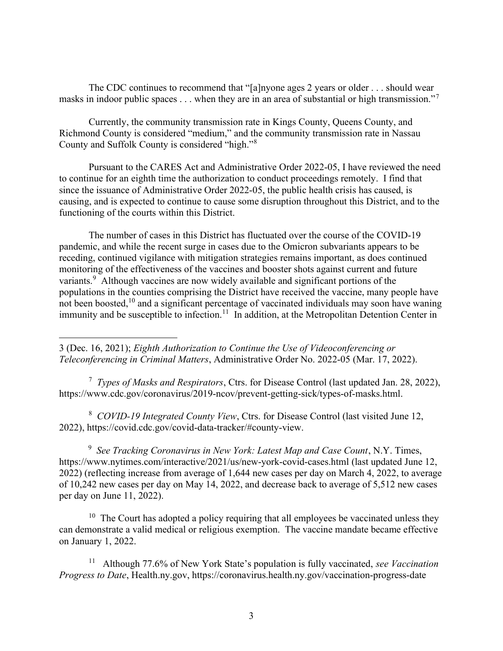The CDC continues to recommend that "[a]nyone ages 2 years or older . . . should wear masks in indoor public spaces . . . when they are in an area of substantial or high transmission."<sup>7</sup>

Currently, the community transmission rate in Kings County, Queens County, and Richmond County is considered "medium," and the community transmission rate in Nassau County and Suffolk County is considered "high."<sup>8</sup>

Pursuant to the CARES Act and Administrative Order 2022-05, I have reviewed the need to continue for an eighth time the authorization to conduct proceedings remotely. I find that since the issuance of Administrative Order 2022-05, the public health crisis has caused, is causing, and is expected to continue to cause some disruption throughout this District, and to the functioning of the courts within this District.

The number of cases in this District has fluctuated over the course of the COVID-19 pandemic, and while the recent surge in cases due to the Omicron subvariants appears to be receding, continued vigilance with mitigation strategies remains important, as does continued monitoring of the effectiveness of the vaccines and booster shots against current and future variants.<sup>9</sup> Although vaccines are now widely available and significant portions of the populations in the counties comprising the District have received the vaccine, many people have not been boosted,  $10$  and a significant percentage of vaccinated individuals may soon have waning immunity and be susceptible to infection.<sup>11</sup> In addition, at the Metropolitan Detention Center in

3 (Dec. 16, 2021); Eighth Authorization to Continue the Use of Videoconferencing or Teleconferencing in Criminal Matters, Administrative Order No. 2022-05 (Mar. 17, 2022).

<sup>7</sup> Types of Masks and Respirators, Ctrs. for Disease Control (last updated Jan. 28, 2022), https://www.cdc.gov/coronavirus/2019-ncov/prevent-getting-sick/types-of-masks.html.

<sup>8</sup> COVID-19 Integrated County View, Ctrs. for Disease Control (last visited June 12, 2022), https://covid.cdc.gov/covid-data-tracker/#county-view.

<sup>9</sup> See Tracking Coronavirus in New York: Latest Map and Case Count, N.Y. Times, https://www.nytimes.com/interactive/2021/us/new-york-covid-cases.html (last updated June 12, 2022) (reflecting increase from average of 1,644 new cases per day on March 4, 2022, to average of 10,242 new cases per day on May 14, 2022, and decrease back to average of 5,512 new cases per day on June 11, 2022).

 $10$  The Court has adopted a policy requiring that all employees be vaccinated unless they can demonstrate a valid medical or religious exemption. The vaccine mandate became effective on January 1, 2022.

<sup>11</sup> Although 77.6% of New York State's population is fully vaccinated, see Vaccination Progress to Date, Health.ny.gov, https://coronavirus.health.ny.gov/vaccination-progress-date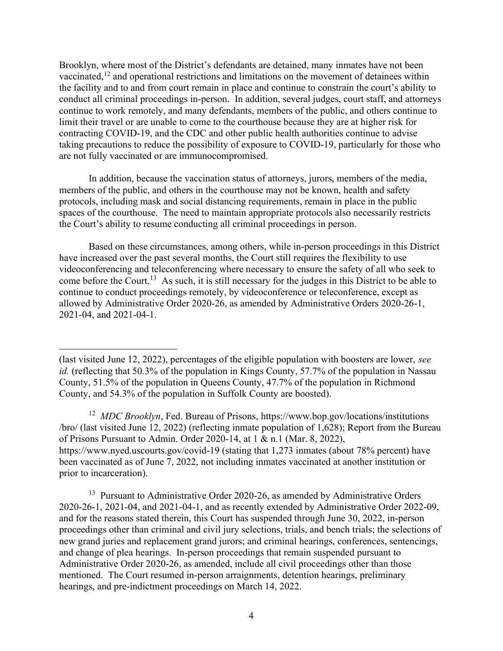Brooklyn, where most of the District's defendants are detained, many inmates have not been vaccinated, $12$  and operational restrictions and limitations on the movement of detainees within the facility and to and from court remain in place and continue to constrain the court's ability to conduct all criminal proceedings in-person. In addition, several judges, court staff, and attorneys continue to work remotely, and many defendants, members of the public, and others continue to limit their travel or are unable to come to the courthouse because they are at higher risk for contracting COVID-19, and the CDC and other public health authorities continue to advise taking precautions to reduce the possibility of exposure to COVID-19, particularly for those who are not fully vaccinated or are immunocompromised.

In addition, because the vaccination status of attorneys, jurors, members of the media, members of the public, and others in the courthouse may not be known, health and safety protocols, including mask and social distancing requirements, remain in place in the public spaces of the courthouse. The need to maintain appropriate protocols also necessarily restricts the Court's ability to resume conducting all criminal proceedings in person.

Based on these circumstances, among others, while in-person proceedings in this District have increased over the past several months, the Court still requires the flexibility to use videoconferencing and teleconferencing where necessary to ensure the safety of all who seek to come before the Court.<sup>13</sup> As such, it is still necessary for the judges in this District to be able to continue to conduct proceedings remotely, by videoconference or teleconference, except as allowed by Administrative Order 2020-26, as amended by Administrative Orders 2020-26-1, 2021-04, and 2021-04-1.

<sup>12</sup> MDC Brooklyn, Fed. Bureau of Prisons, https://www.bop.gov/locations/institutions /bro/ (last visited June 12, 2022) (reflecting inmate population of 1,628); Report from the Bureau of Prisons Pursuant to Admin. Order 2020-14, at 1 & n.1 (Mar. 8, 2022), https://www.nyed.uscourts.gov/covid-19 (stating that 1,273 inmates (about 78% percent) have been vaccinated as of June 7, 2022, not including inmates vaccinated at another institution or prior to incarceration).

 $13$  Pursuant to Administrative Order 2020-26, as amended by Administrative Orders 2020-26-1, 2021-04, and 2021-04-1, and as recently extended by Administrative Order 2022-09, and for the reasons stated therein, this Court has suspended through June 30, 2022, in-person proceedings other than criminal and civil jury selections, trials, and bench trials; the selections of new grand juries and replacement grand jurors; and criminal hearings, conferences, sentencings, and change of plea hearings. In-person proceedings that remain suspended pursuant to Administrative Order 2020-26, as amended, include all civil proceedings other than those mentioned. The Court resumed in-person arraignments, detention hearings, preliminary hearings, and pre-indictment proceedings on March 14, 2022.

<sup>(</sup>last visited June 12, 2022), percentages of the eligible population with boosters are lower, see id. (reflecting that 50.3% of the population in Kings County, 57.7% of the population in Nassau County, 51.5% of the population in Queens County, 47.7% of the population in Richmond County, and 54.3% of the population in Suffolk County are boosted).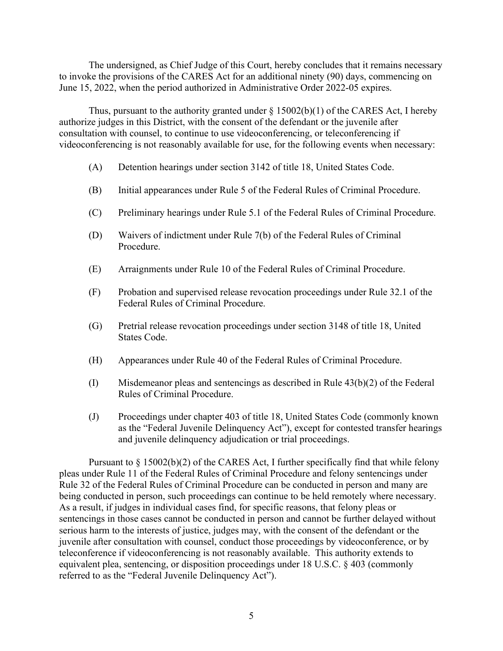The undersigned, as Chief Judge of this Court, hereby concludes that it remains necessary to invoke the provisions of the CARES Act for an additional ninety (90) days, commencing on June 15, 2022, when the period authorized in Administrative Order 2022-05 expires.

Thus, pursuant to the authority granted under  $\S$  15002(b)(1) of the CARES Act, I hereby authorize judges in this District, with the consent of the defendant or the juvenile after consultation with counsel, to continue to use videoconferencing, or teleconferencing if videoconferencing is not reasonably available for use, for the following events when necessary:

- (A) Detention hearings under section 3142 of title 18, United States Code.
- (B) Initial appearances under Rule 5 of the Federal Rules of Criminal Procedure.
- (C) Preliminary hearings under Rule 5.1 of the Federal Rules of Criminal Procedure.
- (D) Waivers of indictment under Rule 7(b) of the Federal Rules of Criminal Procedure.
- (E) Arraignments under Rule 10 of the Federal Rules of Criminal Procedure.
- (F) Probation and supervised release revocation proceedings under Rule 32.1 of the Federal Rules of Criminal Procedure.
- (G) Pretrial release revocation proceedings under section 3148 of title 18, United States Code.
- (H) Appearances under Rule 40 of the Federal Rules of Criminal Procedure.
- (I) Misdemeanor pleas and sentencings as described in Rule 43(b)(2) of the Federal Rules of Criminal Procedure.
- (J) Proceedings under chapter 403 of title 18, United States Code (commonly known as the "Federal Juvenile Delinquency Act"), except for contested transfer hearings and juvenile delinquency adjudication or trial proceedings.

Pursuant to  $\S 15002(b)(2)$  of the CARES Act, I further specifically find that while felony pleas under Rule 11 of the Federal Rules of Criminal Procedure and felony sentencings under Rule 32 of the Federal Rules of Criminal Procedure can be conducted in person and many are being conducted in person, such proceedings can continue to be held remotely where necessary. As a result, if judges in individual cases find, for specific reasons, that felony pleas or sentencings in those cases cannot be conducted in person and cannot be further delayed without serious harm to the interests of justice, judges may, with the consent of the defendant or the juvenile after consultation with counsel, conduct those proceedings by videoconference, or by teleconference if videoconferencing is not reasonably available. This authority extends to equivalent plea, sentencing, or disposition proceedings under 18 U.S.C. § 403 (commonly referred to as the "Federal Juvenile Delinquency Act").